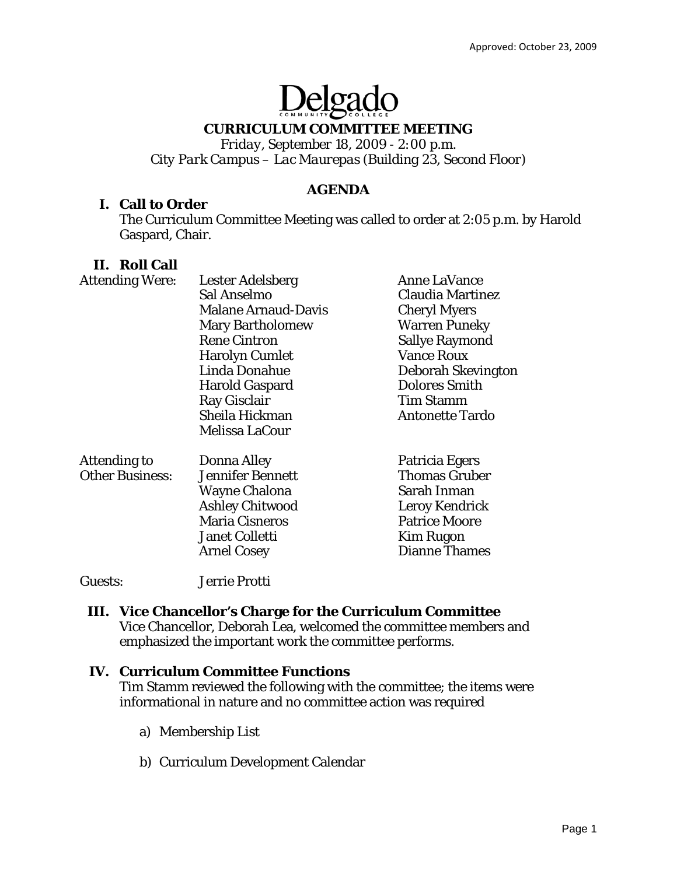# Delgade

## **CURRICULUM COMMITTEE MEETING**

*Friday, September 18, 2009 - 2:00 p.m. City Park Campus – Lac Maurepas (Building 23, Second Floor)* 

## **AGENDA**

### **I. Call to Order**

The Curriculum Committee Meeting was called to order at 2:05 p.m. by Harold Gaspard, Chair.

## **II. Roll Call**

| <b>Attending Were:</b> | <b>Lester Adelsberg</b>    | <b>Anne LaVance</b>    |
|------------------------|----------------------------|------------------------|
|                        | Sal Anselmo                | Claudia Martinez       |
|                        | <b>Malane Arnaud-Davis</b> | <b>Cheryl Myers</b>    |
|                        | <b>Mary Bartholomew</b>    | <b>Warren Puneky</b>   |
|                        | <b>Rene Cintron</b>        | <b>Sallye Raymond</b>  |
|                        | <b>Harolyn Cumlet</b>      | <b>Vance Roux</b>      |
|                        | Linda Donahue              | Deborah Skevington     |
|                        | <b>Harold Gaspard</b>      | <b>Dolores Smith</b>   |
|                        | Ray Gisclair               | <b>Tim Stamm</b>       |
|                        | Sheila Hickman             | <b>Antonette Tardo</b> |
|                        | Melissa LaCour             |                        |
| <b>Attending to</b>    | Donna Alley                | Patricia Egers         |
| <b>Other Business:</b> | <b>Jennifer Bennett</b>    | <b>Thomas Gruber</b>   |
|                        | <b>Wayne Chalona</b>       | Sarah Inman            |
|                        | <b>Ashley Chitwood</b>     | <b>Leroy Kendrick</b>  |
|                        | <b>Maria Cisneros</b>      | <b>Patrice Moore</b>   |
|                        | <b>Janet Colletti</b>      | <b>Kim Rugon</b>       |
|                        | <b>Arnel Cosey</b>         | <b>Dianne Thames</b>   |
|                        |                            |                        |

Guests: Jerrie Protti

### **III. Vice Chancellor's Charge for the Curriculum Committee**

Vice Chancellor, Deborah Lea, welcomed the committee members and emphasized the important work the committee performs.

#### **IV. Curriculum Committee Functions**

Tim Stamm reviewed the following with the committee; the items were informational in nature and no committee action was required

- a) Membership List
- b) Curriculum Development Calendar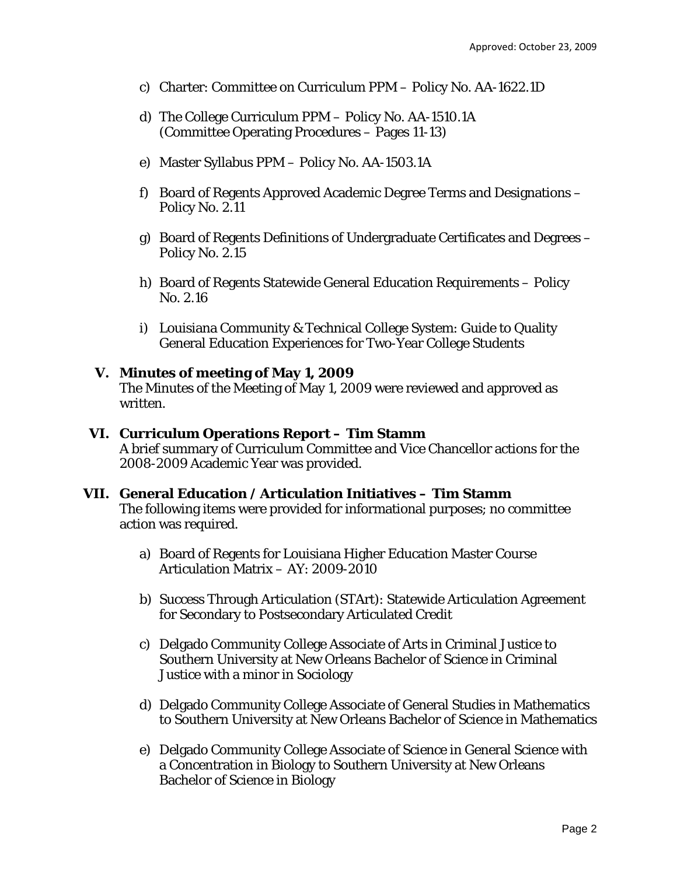- c) Charter: Committee on Curriculum PPM Policy No. AA-1622.1D
- d) The College Curriculum PPM Policy No. AA-1510.1A (Committee Operating Procedures – Pages 11-13)
- e) Master Syllabus PPM Policy No. AA-1503.1A
- f) Board of Regents Approved Academic Degree Terms and Designations Policy No. 2.11
- g) Board of Regents Definitions of Undergraduate Certificates and Degrees Policy No. 2.15
- h) Board of Regents Statewide General Education Requirements Policy No. 2.16
- i) Louisiana Community & Technical College System: Guide to Quality General Education Experiences for Two-Year College Students

#### **V. Minutes of meeting of May 1, 2009**

The Minutes of the Meeting of May 1, 2009 were reviewed and approved as written.

#### **VI. Curriculum Operations Report – Tim Stamm**  A brief summary of Curriculum Committee and Vice Chancellor actions for the 2008-2009 Academic Year was provided.

#### **VII. General Education / Articulation Initiatives – Tim Stamm**

The following items were provided for informational purposes; no committee action was required.

- a) Board of Regents for Louisiana Higher Education Master Course Articulation Matrix – AY: 2009-2010
- b) Success Through Articulation (STArt): Statewide Articulation Agreement for Secondary to Postsecondary Articulated Credit
- c) Delgado Community College Associate of Arts in Criminal Justice to Southern University at New Orleans Bachelor of Science in Criminal Justice with a minor in Sociology
- d) Delgado Community College Associate of General Studies in Mathematics to Southern University at New Orleans Bachelor of Science in Mathematics
- e) Delgado Community College Associate of Science in General Science with a Concentration in Biology to Southern University at New Orleans Bachelor of Science in Biology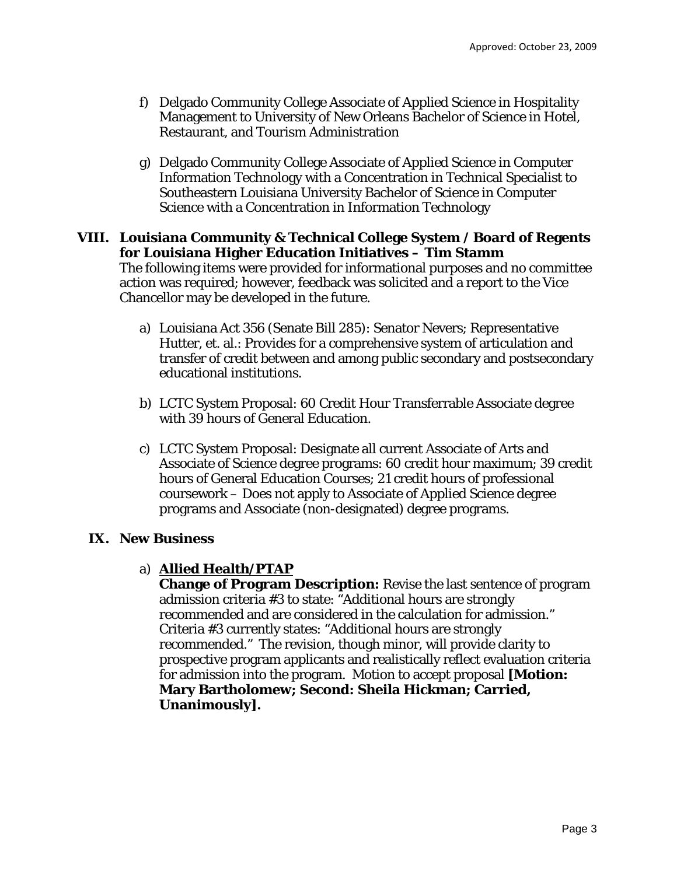- f) Delgado Community College Associate of Applied Science in Hospitality Management to University of New Orleans Bachelor of Science in Hotel, Restaurant, and Tourism Administration
- g) Delgado Community College Associate of Applied Science in Computer Information Technology with a Concentration in Technical Specialist to Southeastern Louisiana University Bachelor of Science in Computer Science with a Concentration in Information Technology

## **VIII. Louisiana Community & Technical College System / Board of Regents for Louisiana Higher Education Initiatives – Tim Stamm**  The following items were provided for informational purposes and no committee action was required; however, feedback was solicited and a report to the Vice Chancellor may be developed in the future.

- a) Louisiana Act 356 (Senate Bill 285): Senator Nevers; Representative Hutter, et. al.: Provides for a comprehensive system of articulation and transfer of credit between and among public secondary and postsecondary educational institutions.
- b) LCTC System Proposal: 60 Credit Hour Transferrable Associate degree with 39 hours of General Education.
- c) LCTC System Proposal: Designate all current Associate of Arts and Associate of Science degree programs: 60 credit hour maximum; 39 credit hours of General Education Courses; 21 credit hours of professional coursework – Does not apply to Associate of Applied Science degree programs and Associate (non-designated) degree programs.

## **IX. New Business**

#### a) **Allied Health/PTAP**

**Change of Program Description:** Revise the last sentence of program admission criteria #3 to state: "Additional hours are strongly recommended and are considered in the calculation for admission." Criteria #3 currently states: "Additional hours are strongly recommended." The revision, though minor, will provide clarity to prospective program applicants and realistically reflect evaluation criteria for admission into the program. Motion to accept proposal **[Motion: Mary Bartholomew; Second: Sheila Hickman; Carried, Unanimously].**